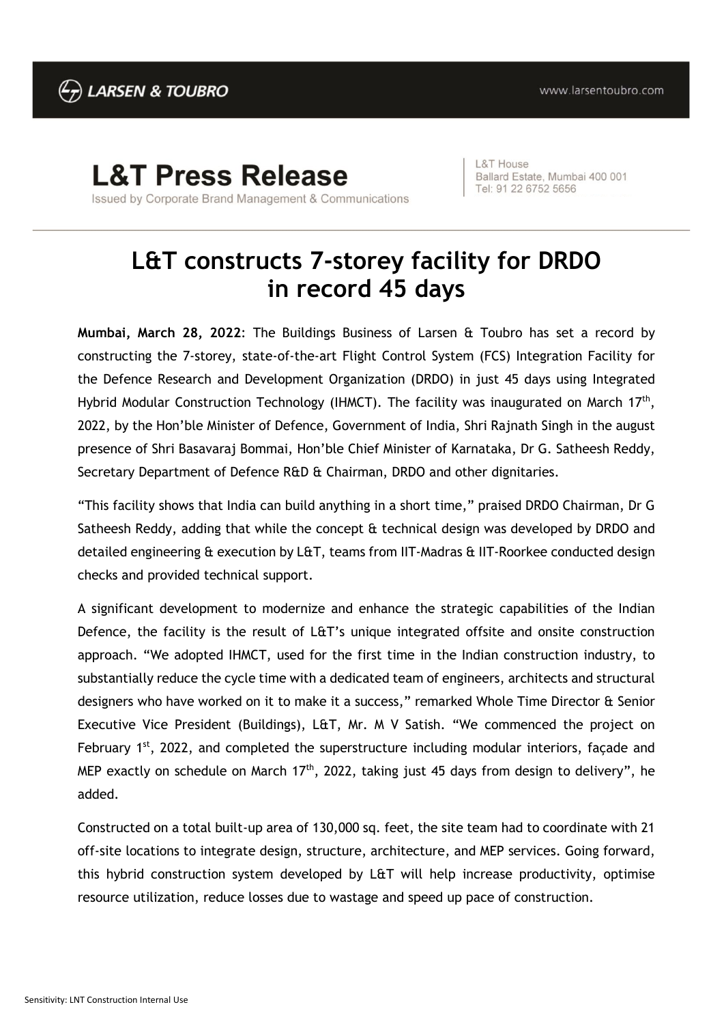## **L&T Press Release**

Issued by Corporate Brand Management & Communications

L&T House Ballard Estate, Mumbai 400 001 Tel: 91 22 6752 5656

## **L&T constructs 7-storey facility for DRDO in record 45 days**

**Mumbai, March 28, 2022**: The Buildings Business of Larsen & Toubro has set a record by constructing the 7-storey, state-of-the-art Flight Control System (FCS) Integration Facility for the Defence Research and Development Organization (DRDO) in just 45 days using Integrated Hybrid Modular Construction Technology (IHMCT). The facility was inaugurated on March 17<sup>th</sup>, 2022, by the Hon'ble Minister of Defence, Government of India, Shri Rajnath Singh in the august presence of Shri Basavaraj Bommai, Hon'ble Chief Minister of Karnataka, Dr G. Satheesh Reddy, Secretary Department of Defence R&D & Chairman, DRDO and other dignitaries.

"This facility shows that India can build anything in a short time," praised DRDO Chairman, Dr G Satheesh Reddy, adding that while the concept & technical design was developed by DRDO and detailed engineering & execution by L&T, teams from IIT-Madras & IIT-Roorkee conducted design checks and provided technical support.

A significant development to modernize and enhance the strategic capabilities of the Indian Defence, the facility is the result of L&T's unique integrated offsite and onsite construction approach. "We adopted IHMCT, used for the first time in the Indian construction industry, to substantially reduce the cycle time with a dedicated team of engineers, architects and structural designers who have worked on it to make it a success," remarked Whole Time Director & Senior Executive Vice President (Buildings), L&T, Mr. M V Satish. "We commenced the project on February  $1<sup>st</sup>$ , 2022, and completed the superstructure including modular interiors, façade and MEP exactly on schedule on March  $17<sup>th</sup>$ , 2022, taking just 45 days from design to delivery", he added.

Constructed on a total built-up area of 130,000 sq. feet, the site team had to coordinate with 21 off-site locations to integrate design, structure, architecture, and MEP services. Going forward, this hybrid construction system developed by L&T will help increase productivity, optimise resource utilization, reduce losses due to wastage and speed up pace of construction.